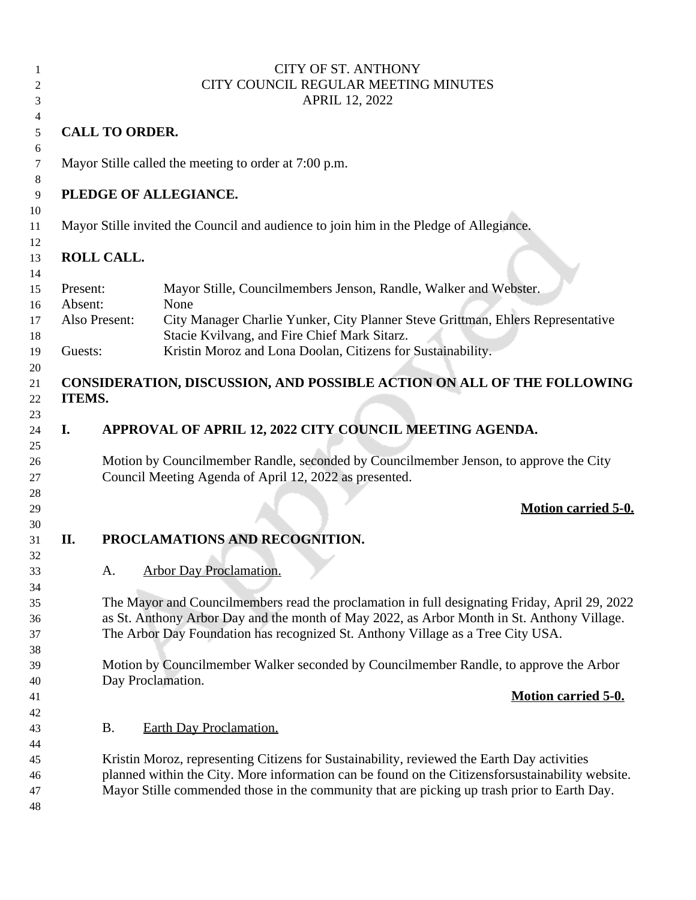| 1  |                                      |                                                                                            | <b>CITY OF ST. ANTHONY</b>                                                                       |  |
|----|--------------------------------------|--------------------------------------------------------------------------------------------|--------------------------------------------------------------------------------------------------|--|
| 2  | CITY COUNCIL REGULAR MEETING MINUTES |                                                                                            |                                                                                                  |  |
| 3  | <b>APRIL 12, 2022</b>                |                                                                                            |                                                                                                  |  |
| 4  |                                      |                                                                                            |                                                                                                  |  |
| 5  | <b>CALL TO ORDER.</b>                |                                                                                            |                                                                                                  |  |
| 6  |                                      |                                                                                            |                                                                                                  |  |
| 7  |                                      | Mayor Stille called the meeting to order at 7:00 p.m.                                      |                                                                                                  |  |
| 8  |                                      |                                                                                            |                                                                                                  |  |
| 9  |                                      |                                                                                            | PLEDGE OF ALLEGIANCE.                                                                            |  |
| 10 |                                      |                                                                                            |                                                                                                  |  |
| 11 |                                      | Mayor Stille invited the Council and audience to join him in the Pledge of Allegiance.     |                                                                                                  |  |
| 12 |                                      |                                                                                            |                                                                                                  |  |
|    |                                      | ROLL CALL.                                                                                 |                                                                                                  |  |
| 13 |                                      |                                                                                            |                                                                                                  |  |
| 14 |                                      |                                                                                            |                                                                                                  |  |
| 15 | Present:                             |                                                                                            | Mayor Stille, Councilmembers Jenson, Randle, Walker and Webster.                                 |  |
| 16 | Absent:                              |                                                                                            | None                                                                                             |  |
| 17 | Also Present:                        |                                                                                            | City Manager Charlie Yunker, City Planner Steve Grittman, Ehlers Representative                  |  |
| 18 |                                      |                                                                                            | Stacie Kvilvang, and Fire Chief Mark Sitarz.                                                     |  |
| 19 | Guests:                              |                                                                                            | Kristin Moroz and Lona Doolan, Citizens for Sustainability.                                      |  |
| 20 |                                      |                                                                                            |                                                                                                  |  |
| 21 |                                      |                                                                                            | CONSIDERATION, DISCUSSION, AND POSSIBLE ACTION ON ALL OF THE FOLLOWING                           |  |
| 22 | ITEMS.                               |                                                                                            |                                                                                                  |  |
| 23 |                                      |                                                                                            |                                                                                                  |  |
| 24 | I.                                   |                                                                                            | APPROVAL OF APRIL 12, 2022 CITY COUNCIL MEETING AGENDA.                                          |  |
| 25 |                                      |                                                                                            |                                                                                                  |  |
| 26 |                                      |                                                                                            | Motion by Councilmember Randle, seconded by Councilmember Jenson, to approve the City            |  |
| 27 |                                      |                                                                                            | Council Meeting Agenda of April 12, 2022 as presented.                                           |  |
| 28 |                                      |                                                                                            |                                                                                                  |  |
| 29 |                                      |                                                                                            | <b>Motion carried 5-0.</b>                                                                       |  |
|    |                                      |                                                                                            |                                                                                                  |  |
| 30 | II.                                  |                                                                                            |                                                                                                  |  |
| 31 |                                      |                                                                                            | PROCLAMATIONS AND RECOGNITION.                                                                   |  |
| 32 |                                      |                                                                                            |                                                                                                  |  |
| 33 |                                      | Α.                                                                                         | <b>Arbor Day Proclamation.</b>                                                                   |  |
| 34 |                                      |                                                                                            |                                                                                                  |  |
| 35 |                                      |                                                                                            | The Mayor and Councilmembers read the proclamation in full designating Friday, April 29, 2022    |  |
| 36 |                                      |                                                                                            | as St. Anthony Arbor Day and the month of May 2022, as Arbor Month in St. Anthony Village.       |  |
| 37 |                                      |                                                                                            | The Arbor Day Foundation has recognized St. Anthony Village as a Tree City USA.                  |  |
| 38 |                                      |                                                                                            |                                                                                                  |  |
| 39 |                                      |                                                                                            | Motion by Councilmember Walker seconded by Councilmember Randle, to approve the Arbor            |  |
| 40 |                                      | Day Proclamation.                                                                          |                                                                                                  |  |
| 41 |                                      |                                                                                            | <b>Motion carried 5-0.</b>                                                                       |  |
| 42 |                                      |                                                                                            |                                                                                                  |  |
| 43 |                                      | <b>B.</b>                                                                                  | <b>Earth Day Proclamation.</b>                                                                   |  |
| 44 |                                      |                                                                                            |                                                                                                  |  |
| 45 |                                      |                                                                                            |                                                                                                  |  |
|    |                                      | Kristin Moroz, representing Citizens for Sustainability, reviewed the Earth Day activities |                                                                                                  |  |
| 46 |                                      |                                                                                            | planned within the City. More information can be found on the Citizensforsustainability website. |  |
| 47 |                                      |                                                                                            | Mayor Stille commended those in the community that are picking up trash prior to Earth Day.      |  |
| 48 |                                      |                                                                                            |                                                                                                  |  |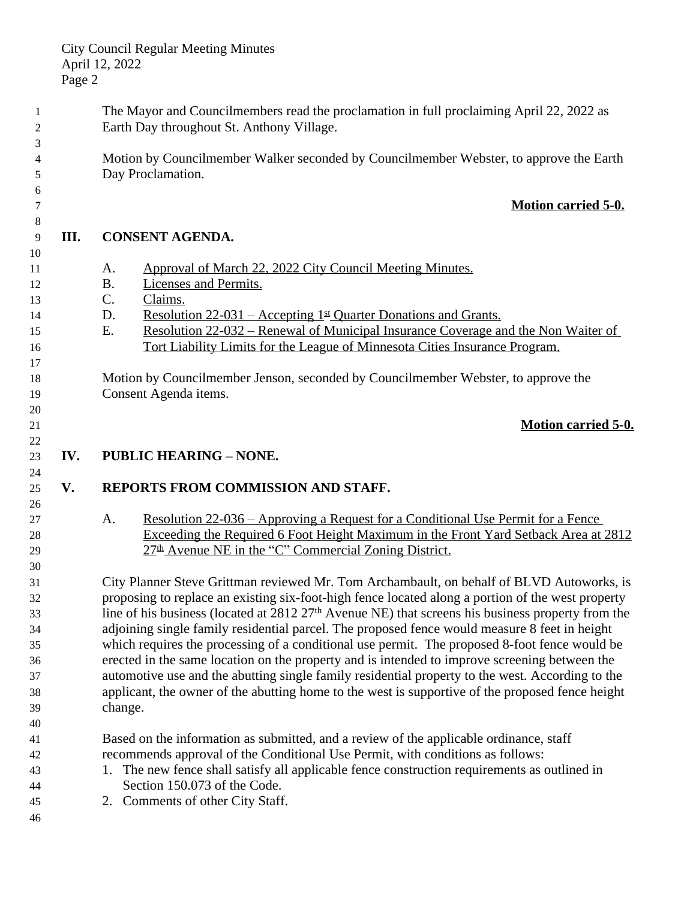The Mayor and Councilmembers read the proclamation in full proclaiming April 22, 2022 as Earth Day throughout St. Anthony Village. Motion by Councilmember Walker seconded by Councilmember Webster, to approve the Earth Day Proclamation. **Motion carried 5-0. III. CONSENT AGENDA.** 11 A. Approval of March 22, 2022 City Council Meeting Minutes. B. Licenses and Permits. C. Claims. D. Resolution 22-031 – Accepting 1st Quarter Donations and Grants. E. Resolution 22-032 – Renewal of Municipal Insurance Coverage and the Non Waiter of Tort Liability Limits for the League of Minnesota Cities Insurance Program. Motion by Councilmember Jenson, seconded by Councilmember Webster, to approve the Consent Agenda items. **Motion carried 5-0. IV. PUBLIC HEARING – NONE. V. REPORTS FROM COMMISSION AND STAFF.** A. Resolution 22-036 – Approving a Request for a Conditional Use Permit for a Fence Exceeding the Required 6 Foot Height Maximum in the Front Yard Setback Area at 2812  $27<sup>th</sup>$  Avenue NE in the "C" Commercial Zoning District. City Planner Steve Grittman reviewed Mr. Tom Archambault, on behalf of BLVD Autoworks, is proposing to replace an existing six-foot-high fence located along a portion of the west property line of his business (located at 2812 27th Avenue NE) that screens his business property from the adjoining single family residential parcel. The proposed fence would measure 8 feet in height which requires the processing of a conditional use permit. The proposed 8-foot fence would be erected in the same location on the property and is intended to improve screening between the automotive use and the abutting single family residential property to the west. According to the applicant, the owner of the abutting home to the west is supportive of the proposed fence height change. Based on the information as submitted, and a review of the applicable ordinance, staff recommends approval of the Conditional Use Permit, with conditions as follows: 1. The new fence shall satisfy all applicable fence construction requirements as outlined in Section 150.073 of the Code. 2. Comments of other City Staff.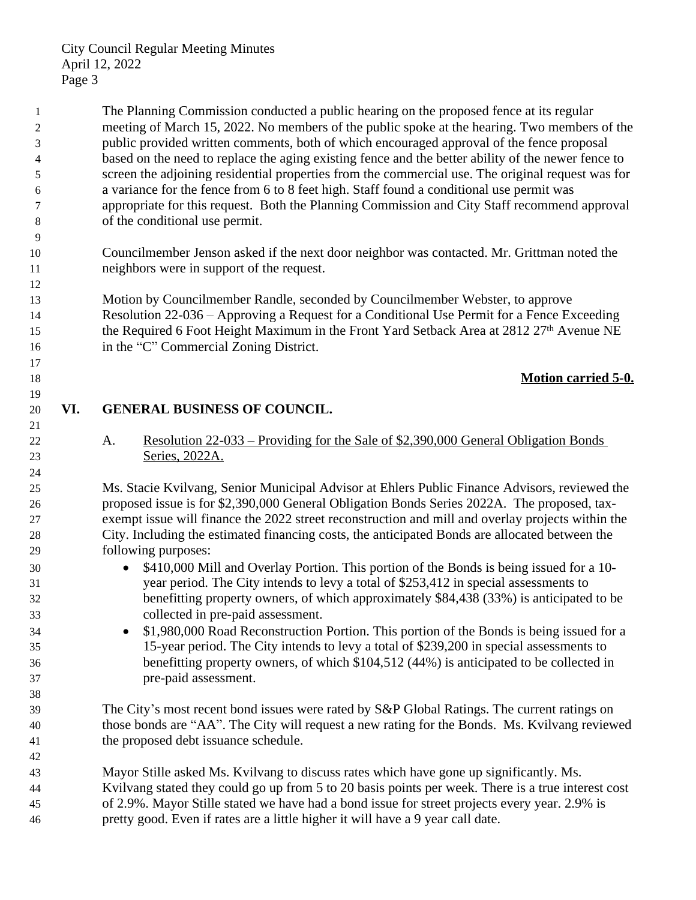City Council Regular Meeting Minutes April 12, 2022 Page 3

 The Planning Commission conducted a public hearing on the proposed fence at its regular meeting of March 15, 2022. No members of the public spoke at the hearing. Two members of the public provided written comments, both of which encouraged approval of the fence proposal based on the need to replace the aging existing fence and the better ability of the newer fence to screen the adjoining residential properties from the commercial use. The original request was for a variance for the fence from 6 to 8 feet high. Staff found a conditional use permit was appropriate for this request. Both the Planning Commission and City Staff recommend approval of the conditional use permit.

 Councilmember Jenson asked if the next door neighbor was contacted. Mr. Grittman noted the neighbors were in support of the request.

 Motion by Councilmember Randle, seconded by Councilmember Webster, to approve Resolution 22-036 – Approving a Request for a Conditional Use Permit for a Fence Exceeding 15 the Required 6 Foot Height Maximum in the Front Yard Setback Area at 2812 27<sup>th</sup> Avenue NE 16 in the "C" Commercial Zoning District.

## **Motion carried 5-0.**

# **VI. GENERAL BUSINESS OF COUNCIL.**

 A. Resolution 22-033 – Providing for the Sale of \$2,390,000 General Obligation Bonds Series, 2022A.

 Ms. Stacie Kvilvang, Senior Municipal Advisor at Ehlers Public Finance Advisors, reviewed the proposed issue is for \$2,390,000 General Obligation Bonds Series 2022A. The proposed, tax- exempt issue will finance the 2022 street reconstruction and mill and overlay projects within the City. Including the estimated financing costs, the anticipated Bonds are allocated between the following purposes:

- **6 \$410,000 Mill and Overlay Portion. This portion of the Bonds is being issued for a 10-** year period. The City intends to levy a total of \$253,412 in special assessments to benefitting property owners, of which approximately \$84,438 (33%) is anticipated to be collected in pre-paid assessment.
- **\$1,980,000 Road Reconstruction Portion.** This portion of the Bonds is being issued for a 15-year period. The City intends to levy a total of \$239,200 in special assessments to benefitting property owners, of which \$104,512 (44%) is anticipated to be collected in pre-paid assessment.

 The City's most recent bond issues were rated by S&P Global Ratings. The current ratings on those bonds are "AA". The City will request a new rating for the Bonds. Ms. Kvilvang reviewed the proposed debt issuance schedule.

 Mayor Stille asked Ms. Kvilvang to discuss rates which have gone up significantly. Ms. Kvilvang stated they could go up from 5 to 20 basis points per week. There is a true interest cost of 2.9%. Mayor Stille stated we have had a bond issue for street projects every year. 2.9% is pretty good. Even if rates are a little higher it will have a 9 year call date.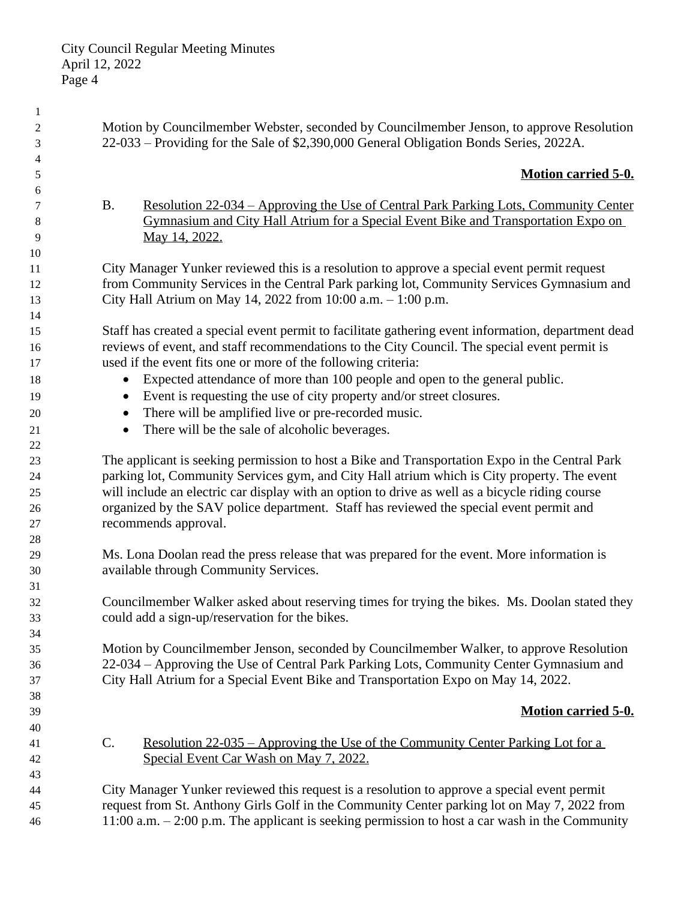| $\mathbf{1}$ |                                                                                                           |
|--------------|-----------------------------------------------------------------------------------------------------------|
| 2            | Motion by Councilmember Webster, seconded by Councilmember Jenson, to approve Resolution                  |
| 3            | 22-033 – Providing for the Sale of \$2,390,000 General Obligation Bonds Series, 2022A.                    |
| 4            |                                                                                                           |
| 5            | <b>Motion carried 5-0.</b>                                                                                |
| 6            |                                                                                                           |
| 7            | <u> Resolution 22-034 – Approving the Use of Central Park Parking Lots, Community Center</u><br><b>B.</b> |
| 8            | Gymnasium and City Hall Atrium for a Special Event Bike and Transportation Expo on                        |
| 9            | May 14, 2022.                                                                                             |
| 10           | City Manager Yunker reviewed this is a resolution to approve a special event permit request               |
| 11<br>12     | from Community Services in the Central Park parking lot, Community Services Gymnasium and                 |
| 13           | City Hall Atrium on May 14, 2022 from 10:00 a.m. - 1:00 p.m.                                              |
| 14           |                                                                                                           |
| 15           | Staff has created a special event permit to facilitate gathering event information, department dead       |
| 16           | reviews of event, and staff recommendations to the City Council. The special event permit is              |
| 17           | used if the event fits one or more of the following criteria:                                             |
| 18           | Expected attendance of more than 100 people and open to the general public.                               |
| 19           | Event is requesting the use of city property and/or street closures.                                      |
| 20           | There will be amplified live or pre-recorded music.                                                       |
| 21           | There will be the sale of alcoholic beverages.                                                            |
| 22           |                                                                                                           |
| 23           | The applicant is seeking permission to host a Bike and Transportation Expo in the Central Park            |
| 24           | parking lot, Community Services gym, and City Hall atrium which is City property. The event               |
| 25           | will include an electric car display with an option to drive as well as a bicycle riding course           |
| 26           | organized by the SAV police department. Staff has reviewed the special event permit and                   |
| 27           | recommends approval.                                                                                      |
| 28           |                                                                                                           |
| 29           | Ms. Lona Doolan read the press release that was prepared for the event. More information is               |
| 30           | available through Community Services.                                                                     |
| 31           |                                                                                                           |
| 32           | Councilmember Walker asked about reserving times for trying the bikes. Ms. Doolan stated they             |
| 33           | could add a sign-up/reservation for the bikes.                                                            |
| 34           |                                                                                                           |
| 35           | Motion by Councilmember Jenson, seconded by Councilmember Walker, to approve Resolution                   |
| 36           | 22-034 – Approving the Use of Central Park Parking Lots, Community Center Gymnasium and                   |
| 37           | City Hall Atrium for a Special Event Bike and Transportation Expo on May 14, 2022.                        |
| 38<br>39     | <b>Motion carried 5-0.</b>                                                                                |
| 40           |                                                                                                           |
| 41           | C.<br><u> Resolution 22-035 – Approving the Use of the Community Center Parking Lot for a</u>             |
| 42           | Special Event Car Wash on May 7, 2022.                                                                    |
| 43           |                                                                                                           |
| 44           | City Manager Yunker reviewed this request is a resolution to approve a special event permit               |
| 45           | request from St. Anthony Girls Golf in the Community Center parking lot on May 7, 2022 from               |
| 46           | 11:00 a.m. $-2:00$ p.m. The applicant is seeking permission to host a car wash in the Community           |
|              |                                                                                                           |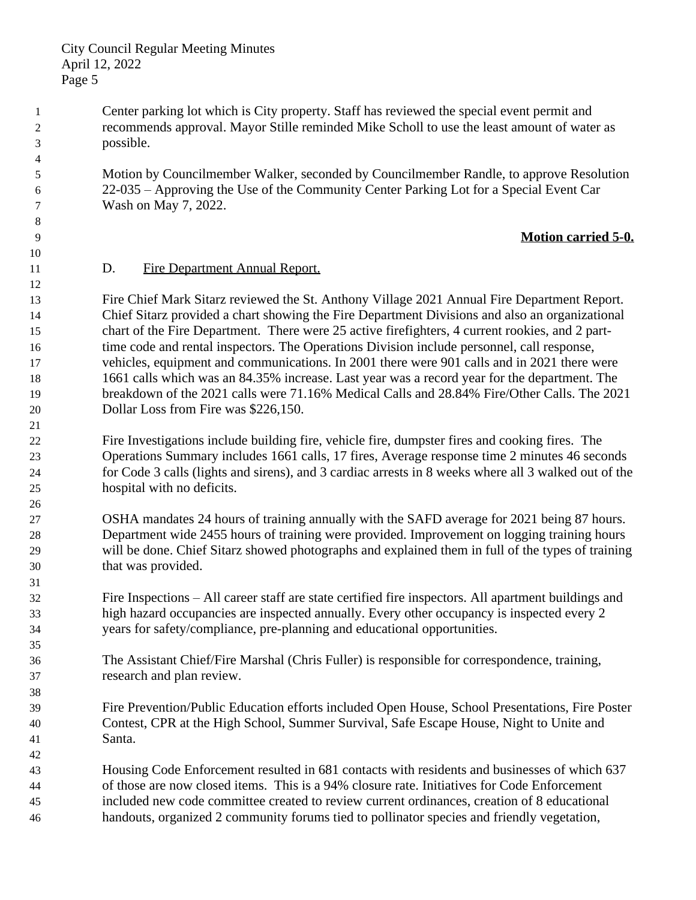Center parking lot which is City property. Staff has reviewed the special event permit and recommends approval. Mayor Stille reminded Mike Scholl to use the least amount of water as possible.

 Motion by Councilmember Walker, seconded by Councilmember Randle, to approve Resolution 22-035 – Approving the Use of the Community Center Parking Lot for a Special Event Car Wash on May 7, 2022.

# **Motion carried 5-0.**

## 11 D. Fire Department Annual Report.

 Fire Chief Mark Sitarz reviewed the St. Anthony Village 2021 Annual Fire Department Report. Chief Sitarz provided a chart showing the Fire Department Divisions and also an organizational chart of the Fire Department. There were 25 active firefighters, 4 current rookies, and 2 part-16 time code and rental inspectors. The Operations Division include personnel, call response, vehicles, equipment and communications. In 2001 there were 901 calls and in 2021 there were 1661 calls which was an 84.35% increase. Last year was a record year for the department. The breakdown of the 2021 calls were 71.16% Medical Calls and 28.84% Fire/Other Calls. The 2021 Dollar Loss from Fire was \$226,150.

 Fire Investigations include building fire, vehicle fire, dumpster fires and cooking fires. The Operations Summary includes 1661 calls, 17 fires, Average response time 2 minutes 46 seconds for Code 3 calls (lights and sirens), and 3 cardiac arrests in 8 weeks where all 3 walked out of the hospital with no deficits.

 OSHA mandates 24 hours of training annually with the SAFD average for 2021 being 87 hours. Department wide 2455 hours of training were provided. Improvement on logging training hours will be done. Chief Sitarz showed photographs and explained them in full of the types of training that was provided.

 Fire Inspections – All career staff are state certified fire inspectors. All apartment buildings and high hazard occupancies are inspected annually. Every other occupancy is inspected every 2 years for safety/compliance, pre-planning and educational opportunities.

 The Assistant Chief/Fire Marshal (Chris Fuller) is responsible for correspondence, training, research and plan review.

 Fire Prevention/Public Education efforts included Open House, School Presentations, Fire Poster Contest, CPR at the High School, Summer Survival, Safe Escape House, Night to Unite and Santa.

 Housing Code Enforcement resulted in 681 contacts with residents and businesses of which 637 of those are now closed items. This is a 94% closure rate. Initiatives for Code Enforcement included new code committee created to review current ordinances, creation of 8 educational handouts, organized 2 community forums tied to pollinator species and friendly vegetation,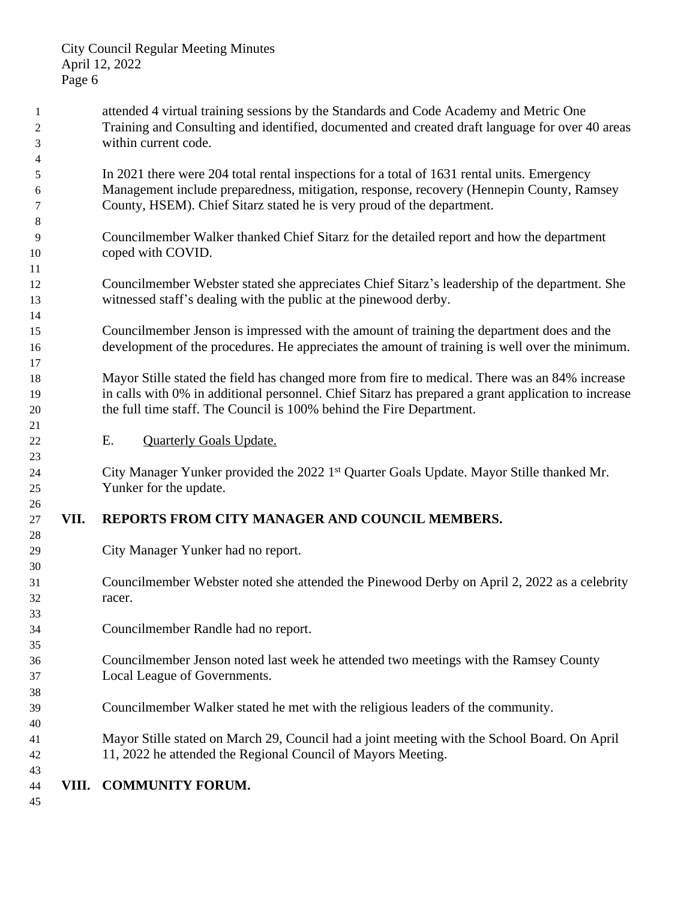attended 4 virtual training sessions by the Standards and Code Academy and Metric One Training and Consulting and identified, documented and created draft language for over 40 areas within current code. In 2021 there were 204 total rental inspections for a total of 1631 rental units. Emergency Management include preparedness, mitigation, response, recovery (Hennepin County, Ramsey County, HSEM). Chief Sitarz stated he is very proud of the department. Councilmember Walker thanked Chief Sitarz for the detailed report and how the department coped with COVID. Councilmember Webster stated she appreciates Chief Sitarz's leadership of the department. She witnessed staff's dealing with the public at the pinewood derby. Councilmember Jenson is impressed with the amount of training the department does and the development of the procedures. He appreciates the amount of training is well over the minimum. Mayor Stille stated the field has changed more from fire to medical. There was an 84% increase in calls with 0% in additional personnel. Chief Sitarz has prepared a grant application to increase the full time staff. The Council is 100% behind the Fire Department. E. Quarterly Goals Update. City Manager Yunker provided the 2022 1 st Quarter Goals Update. Mayor Stille thanked Mr. Yunker for the update. **VII. REPORTS FROM CITY MANAGER AND COUNCIL MEMBERS.** City Manager Yunker had no report. Councilmember Webster noted she attended the Pinewood Derby on April 2, 2022 as a celebrity racer. Councilmember Randle had no report. Councilmember Jenson noted last week he attended two meetings with the Ramsey County Local League of Governments. Councilmember Walker stated he met with the religious leaders of the community. Mayor Stille stated on March 29, Council had a joint meeting with the School Board. On April 11, 2022 he attended the Regional Council of Mayors Meeting. **VIII. COMMUNITY FORUM.**